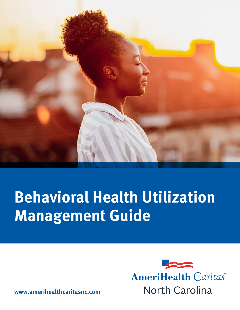

# **Behavioral Health Utilization Management Guide**



**www.amerihealthcaritasnc.com**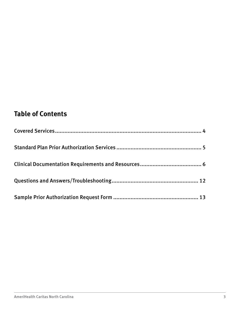#### **Table of Contents**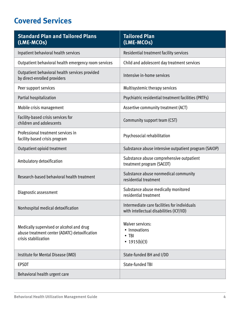### <span id="page-3-0"></span>**Covered Services**

| <b>Standard Plan and Tailored Plans</b><br>(LME-MCOs)                                                             | <b>Tailored Plan</b><br>(LME-MCOs)                                                       |
|-------------------------------------------------------------------------------------------------------------------|------------------------------------------------------------------------------------------|
| Inpatient behavioral health services                                                                              | Residential treatment facility services                                                  |
| Outpatient behavioral health emergency room services                                                              | Child and adolescent day treatment services                                              |
| Outpatient behavioral health services provided<br>by direct-enrolled providers                                    | Intensive in-home services                                                               |
| Peer support services                                                                                             | Multisystemic therapy services                                                           |
| Partial hospitalization                                                                                           | Psychiatric residential treatment facilities (PRTFs)                                     |
| Mobile crisis management                                                                                          | Assertive community treatment (ACT)                                                      |
| Facility-based crisis services for<br>children and adolescents                                                    | Community support team (CST)                                                             |
| Professional treatment services in<br>facility-based crisis program                                               | Psychosocial rehabilitation                                                              |
| Outpatient opioid treatment                                                                                       | Substance abuse intensive outpatient program (SAIOP)                                     |
| Ambulatory detoxification                                                                                         | Substance abuse comprehensive outpatient<br>treatment program (SACOT)                    |
| Research-based behavioral health treatment                                                                        | Substance abuse nonmedical community<br>residential treatment                            |
| Diagnostic assessment                                                                                             | Substance abuse medically monitored<br>residential treatment                             |
| Nonhospital medical detoxification                                                                                | Intermediate care facilities for individuals<br>with intellectual disabilities (ICF/IID) |
| Medically supervised or alcohol and drug<br>abuse treatment center (ADATC) detoxification<br>crisis stabilization | <b>Waiver services:</b><br>• Innovations<br>$\cdot$ TBI<br>• $1915(b)(3)$                |
| Institute for Mental Disease (IMD)                                                                                | State-funded BH and I/DD                                                                 |
| <b>EPSDT</b>                                                                                                      | State-funded TBI                                                                         |
| Behavioral health urgent care                                                                                     |                                                                                          |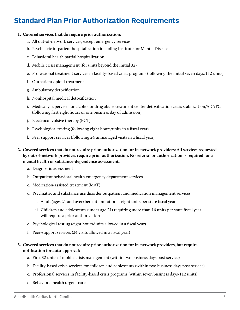#### <span id="page-4-0"></span>**Standard Plan Prior Authorization Requirements**

#### **1. Covered services that do require prior authorization:**

- a. All out-of-network services, except emergency services
- b. Psychiatric in-patient hospitalization including Institute for Mental Disease
- c. Behavioral health partial hospitalization
- d. Mobile crisis management (for units beyond the initial 32)
- e. Professional treatment services in facility-based crisis programs (following the initial seven days/112 units)
- f. Outpatient opioid treatment
- g. Ambulatory detoxifcation
- h. Nonhospital medical detoxifcation
- i. Medically supervised or alcohol or drug abuse treatment center detoxifcation crisis stabilization/ADATC (following frst eight hours or one business day of admission)
- j. Electroconvulsive therapy (ECT)
- k. Psychological testing (following eight hours/units in a fscal year)
- l. Peer support services (following 24 unmanaged visits in a fscal year)
- **2. Covered services that do not require prior authorization for in-network providers: All services requested by out-of-network providers require prior authorization. No referral or authorization is required for a mental health or substance-dependence assessment.** 
	- a. Diagnostic assessment
	- b. Outpatient behavioral health emergency department services
	- c. Medication-assisted treatment (MAT)
	- d. Psychiatric and substance use disorder outpatient and medication management services
		- i. Adult (ages 21 and over) beneft limitation is eight units per state fscal year
		- ii. Children and adolescents (under age 21) requiring more than 16 units per state fscal year will require a prior authorization
	- e. Psychological testing (eight hours/units allowed in a fscal year)
	- f. Peer-support services (24 visits allowed in a fscal year)
- **3. Covered services that do not require prior authorization for in-network providers, but require notifcation for auto-approval:** 
	- a. First 32 units of mobile crisis management (within two business days post service)
	- b. Facility-based crisis services for children and adolescents (within two business days post service)
	- c. Professional services in facility-based crisis programs (within seven business days/112 units)
	- d. Behavioral health urgent care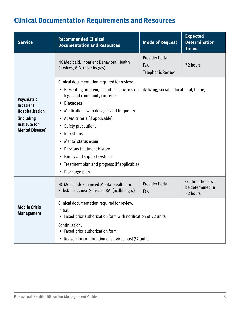| <b>Service</b>                                                                                              | <b>Recommended Clinical</b><br><b>Documentation and Resources</b>                                                                                                                                                                                                                                                                                                                                                                                                                                                                                              | <b>Expected</b><br><b>Determination</b><br><b>Times</b>   |                                                    |  |  |  |
|-------------------------------------------------------------------------------------------------------------|----------------------------------------------------------------------------------------------------------------------------------------------------------------------------------------------------------------------------------------------------------------------------------------------------------------------------------------------------------------------------------------------------------------------------------------------------------------------------------------------------------------------------------------------------------------|-----------------------------------------------------------|----------------------------------------------------|--|--|--|
|                                                                                                             | NC Medicaid: Inpatient Behavioral Health<br>Services, 8-B. (ncdhhs.gov)                                                                                                                                                                                                                                                                                                                                                                                                                                                                                        | <b>Provider Portal</b><br>Fax<br><b>Telephonic Review</b> | 72 hours                                           |  |  |  |
| Psychiatric<br>Inpatient<br>Hospitalization<br>(including<br><b>Institute for</b><br><b>Mental Disease)</b> | Clinical documentation required for review:<br>• Presenting problem, including activities of daily living, social, educational, home,<br>legal and community concerns<br><b>Diagnoses</b><br>$\bullet$<br>Medications with dosages and frequency<br>$\bullet$<br>• ASAM criteria (if applicable)<br>Safety precautions<br>٠<br><b>Risk status</b><br>$\bullet$<br>Mental status exam<br>$\bullet$<br><b>Previous treatment history</b><br>٠<br>Family and support systems<br>٠<br>• Treatment plan and progress (if applicable)<br>Discharge plan<br>$\bullet$ |                                                           |                                                    |  |  |  |
|                                                                                                             | NC Medicaid: Enhanced Mental Health and<br>Substance Abuse Services, 8A. (ncdhhs.gov)                                                                                                                                                                                                                                                                                                                                                                                                                                                                          | <b>Provider Portal</b><br>Fax                             | Continuations will<br>be determined in<br>72 hours |  |  |  |
| <b>Mobile Crisis</b><br><b>Management</b>                                                                   | Clinical documentation required for review:<br>Initial:<br>Faxed prior authorization form with notification of 32 units<br>٠                                                                                                                                                                                                                                                                                                                                                                                                                                   |                                                           |                                                    |  |  |  |
|                                                                                                             | Continuation:<br>• Faxed prior authorization form<br>• Reason for continuation of services past 32 units                                                                                                                                                                                                                                                                                                                                                                                                                                                       |                                                           |                                                    |  |  |  |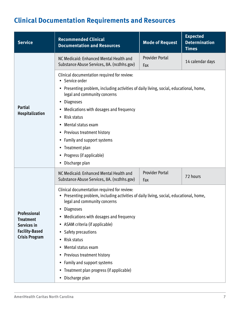| <b>Service</b>                                                                                    | <b>Recommended Clinical</b><br><b>Documentation and Resources</b>                                                                                                                                                                                                                                                                                                                                                                                                                                                                 | <b>Mode of Request</b>        | <b>Expected</b><br><b>Determination</b><br><b>Times</b> |  |  |  |
|---------------------------------------------------------------------------------------------------|-----------------------------------------------------------------------------------------------------------------------------------------------------------------------------------------------------------------------------------------------------------------------------------------------------------------------------------------------------------------------------------------------------------------------------------------------------------------------------------------------------------------------------------|-------------------------------|---------------------------------------------------------|--|--|--|
|                                                                                                   | NC Medicaid: Enhanced Mental Health and<br>Substance Abuse Services, 8A. (ncdhhs.gov)                                                                                                                                                                                                                                                                                                                                                                                                                                             | <b>Provider Portal</b><br>Fax | 14 calendar days                                        |  |  |  |
| <b>Partial</b><br>Hospitalization                                                                 | Clinical documentation required for review:<br>• Service order<br>• Presenting problem, including activities of daily living, social, educational, home,<br>legal and community concerns<br><b>Diagnoses</b><br>٠<br>Medications with dosages and frequency<br>Risk status<br>٠<br>Mental status exam<br>٠<br>• Previous treatment history<br>Family and support systems<br>٠<br>• Treatment plan<br>• Progress (if applicable)<br>Discharge plan                                                                                 |                               |                                                         |  |  |  |
|                                                                                                   | NC Medicaid: Enhanced Mental Health and<br>Substance Abuse Services, 8A. (ncdhhs.gov)                                                                                                                                                                                                                                                                                                                                                                                                                                             | <b>Provider Portal</b><br>Fax | 72 hours                                                |  |  |  |
| Professional<br><b>Treatment</b><br>Services in<br><b>Facility-Based</b><br><b>Crisis Program</b> | Clinical documentation required for review:<br>• Presenting problem, including activities of daily living, social, educational, home,<br>legal and community concerns<br><b>Diagnoses</b><br>٠<br>Medications with dosages and frequency<br>٠<br>ASAM criteria (if applicable)<br>٠<br><b>Safety precautions</b><br>٠<br>Risk status<br>$\bullet$<br>Mental status exam<br>٠<br>Previous treatment history<br>٠<br>Family and support systems<br>٠<br>Treatment plan progress (if applicable)<br>٠<br>Discharge plan<br>$\bullet$ |                               |                                                         |  |  |  |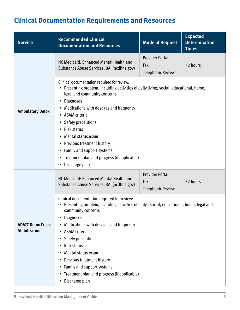<span id="page-7-0"></span>

| <b>Service</b>                                    | <b>Recommended Clinical</b><br><b>Documentation and Resources</b>                                                                                                                                                                                                                                                                                                                                                                                                                                 | <b>Mode of Request</b>                                    | <b>Expected</b><br><b>Determination</b><br><b>Times</b> |  |  |  |
|---------------------------------------------------|---------------------------------------------------------------------------------------------------------------------------------------------------------------------------------------------------------------------------------------------------------------------------------------------------------------------------------------------------------------------------------------------------------------------------------------------------------------------------------------------------|-----------------------------------------------------------|---------------------------------------------------------|--|--|--|
|                                                   | NC Medicaid: Enhanced Mental Health and<br>Substance Abuse Services, 8A. (ncdhhs.gov)                                                                                                                                                                                                                                                                                                                                                                                                             | <b>Provider Portal</b><br>Fax<br><b>Telephonic Review</b> | 72 hours                                                |  |  |  |
| <b>Ambulatory Detox</b>                           | Clinical documentation required for review:<br>• Presenting problem, including activities of daily living, social, educational, home,<br>legal and community concerns<br><b>Diagnoses</b><br>$\bullet$<br>• Medications with dosages and frequency<br>• ASAM criteria<br>• Safety precautions<br>Risk status<br>$\bullet$<br>Mental status exam<br>$\bullet$<br>• Previous treatment history<br>• Family and support systems<br>• Treatment plan and progress (if applicable)<br>• Discharge plan |                                                           |                                                         |  |  |  |
|                                                   | NC Medicaid: Enhanced Mental Health and<br>Substance Abuse Services, 8A. (ncdhhs.gov)                                                                                                                                                                                                                                                                                                                                                                                                             | <b>Provider Portal</b><br>Fax<br><b>Telephonic Review</b> | 72 hours                                                |  |  |  |
| <b>ADATC Detox Crisis</b><br><b>Stabilization</b> | Clinical documentation required for review:<br>• Presenting problem, including activities of daily, social, educational, home, legal and<br>community concerns<br><b>Diagnoses</b><br>Medications with dosages and frequency<br>ASAM criteria<br>Safety precautions<br>Risk status<br>٠<br>Mental status exam<br>Previous treatment history<br>٠<br>Family and support systems<br>• Treatment plan and progress (if applicable)<br>Discharge plan                                                 |                                                           |                                                         |  |  |  |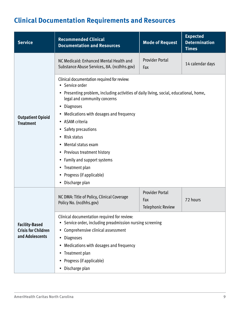| <b>Service</b>             | <b>Recommended Clinical</b><br><b>Documentation and Resources</b>                                                      | <b>Mode of Request</b>          | <b>Expected</b><br><b>Determination</b><br><b>Times</b> |  |  |  |  |
|----------------------------|------------------------------------------------------------------------------------------------------------------------|---------------------------------|---------------------------------------------------------|--|--|--|--|
|                            | NC Medicaid: Enhanced Mental Health and<br>Substance Abuse Services, 8A. (ncdhhs.gov)                                  | <b>Provider Portal</b><br>Fax   | 14 calendar days                                        |  |  |  |  |
|                            | Clinical documentation required for review:<br>• Service order                                                         |                                 |                                                         |  |  |  |  |
|                            | • Presenting problem, including activities of daily living, social, educational, home,<br>legal and community concerns |                                 |                                                         |  |  |  |  |
|                            | <b>Diagnoses</b><br>٠                                                                                                  |                                 |                                                         |  |  |  |  |
| <b>Outpatient Opioid</b>   | • Medications with dosages and frequency                                                                               |                                 |                                                         |  |  |  |  |
| <b>Treatment</b>           | • ASAM criteria                                                                                                        |                                 |                                                         |  |  |  |  |
|                            | <b>Safety precautions</b><br>٠                                                                                         |                                 |                                                         |  |  |  |  |
|                            | • Risk status                                                                                                          |                                 |                                                         |  |  |  |  |
|                            | Mental status exam<br>٠                                                                                                |                                 |                                                         |  |  |  |  |
|                            | • Previous treatment history                                                                                           |                                 |                                                         |  |  |  |  |
|                            | • Family and support systems                                                                                           |                                 |                                                         |  |  |  |  |
|                            | • Treatment plan                                                                                                       |                                 |                                                         |  |  |  |  |
|                            | • Progress (if applicable)                                                                                             |                                 |                                                         |  |  |  |  |
|                            | Discharge plan<br>٠                                                                                                    |                                 |                                                         |  |  |  |  |
|                            | NC DMA: Title of Policy, Clinical Coverage                                                                             | <b>Provider Portal</b>          |                                                         |  |  |  |  |
|                            | Policy No. (ncdhhs.gov)                                                                                                | Fax<br><b>Telephonic Review</b> | 72 hours                                                |  |  |  |  |
|                            |                                                                                                                        |                                 |                                                         |  |  |  |  |
| <b>Facility-Based</b>      | Clinical documentation required for review:<br>Service order, including preadmission nursing screening<br>٠            |                                 |                                                         |  |  |  |  |
| <b>Crisis for Children</b> | Comprehensive clinical assessment<br>$\bullet$                                                                         |                                 |                                                         |  |  |  |  |
| and Adolescents            | <b>Diagnoses</b><br>٠                                                                                                  |                                 |                                                         |  |  |  |  |
|                            | Medications with dosages and frequency<br>٠                                                                            |                                 |                                                         |  |  |  |  |
|                            | Treatment plan<br>٠                                                                                                    |                                 |                                                         |  |  |  |  |
|                            | Progress (if applicable)<br>٠                                                                                          |                                 |                                                         |  |  |  |  |
|                            | • Discharge plan                                                                                                       |                                 |                                                         |  |  |  |  |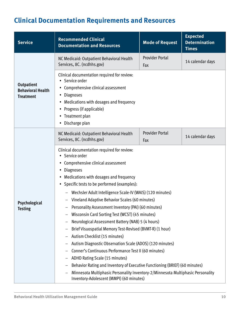| <b>Service</b>                                                    | <b>Recommended Clinical</b><br><b>Documentation and Resources</b>                                                                                                                                                                                                                                                                                                                                                                                                                                                                                                                                                                                                                                                                                                                                                                                                                                                                                                                                 | <b>Expected</b><br><b>Mode of Request</b><br><b>Determination</b><br><b>Times</b> |                  |  |  |  |  |
|-------------------------------------------------------------------|---------------------------------------------------------------------------------------------------------------------------------------------------------------------------------------------------------------------------------------------------------------------------------------------------------------------------------------------------------------------------------------------------------------------------------------------------------------------------------------------------------------------------------------------------------------------------------------------------------------------------------------------------------------------------------------------------------------------------------------------------------------------------------------------------------------------------------------------------------------------------------------------------------------------------------------------------------------------------------------------------|-----------------------------------------------------------------------------------|------------------|--|--|--|--|
|                                                                   | NC Medicaid: Outpatient Behavioral Health<br>Services, 8C. (ncdhhs.gov)                                                                                                                                                                                                                                                                                                                                                                                                                                                                                                                                                                                                                                                                                                                                                                                                                                                                                                                           | <b>Provider Portal</b><br>Fax                                                     | 14 calendar days |  |  |  |  |
| <b>Outpatient</b><br><b>Behavioral Health</b><br><b>Treatment</b> | Clinical documentation required for review:<br>• Service order<br>Comprehensive clinical assessment<br>٠<br><b>Diagnoses</b><br>٠<br>Medications with dosages and frequency<br>٠<br>Progress (if applicable)<br>٠<br>• Treatment plan<br>• Discharge plan                                                                                                                                                                                                                                                                                                                                                                                                                                                                                                                                                                                                                                                                                                                                         |                                                                                   |                  |  |  |  |  |
|                                                                   | NC Medicaid: Outpatient Behavioral Health<br>Services, 8C. (ncdhhs.gov)                                                                                                                                                                                                                                                                                                                                                                                                                                                                                                                                                                                                                                                                                                                                                                                                                                                                                                                           | <b>Provider Portal</b><br>Fax                                                     | 14 calendar days |  |  |  |  |
| Psychological<br>Testing                                          | Clinical documentation required for review:<br>• Service order<br>• Comprehensive clinical assessment<br><b>Diagnoses</b><br>٠<br>Medications with dosages and frequency<br>$\bullet$<br>Specific tests to be performed (examples):<br>$\bullet$<br>Wechsler Adult Intelligence Scale-IV (WAIS) (120 minutes)<br>Vineland Adaptive Behavior Scales (60 minutes)<br>- Personality Assessment Inventory (PAI) (60 minutes)<br>Wisconsin Card Sorting Test (WCST) (45 minutes)<br>Neurological Assessment Battery (NAB) 5 (4 hours)<br>Brief Visuospatial Memory Test-Revised (BVMT-R) (1 hour)<br>Autism Checklist (15 minutes)<br>Autism Diagnostic Observation Scale (ADOS) (120 minutes)<br>Conner's Continuous Performance Test II (60 minutes)<br>ADHD Rating Scale (15 minutes)<br>Behavior Rating and Inventory of Executive Functioning (BRIEF) (60 minutes)<br>Minnesota Multiphasic Personality Inventory-2/Minnesota Multiphasic Personality<br>Inventory-Adolescent (MMPI) (60 minutes) |                                                                                   |                  |  |  |  |  |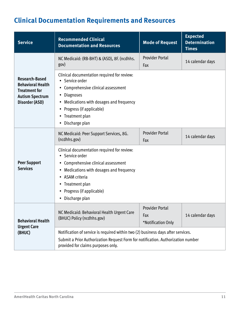| <b>Service</b>                                                                                                        | <b>Recommended Clinical</b><br><b>Documentation and Resources</b>                                                                                                                                                                                                           | <b>Expected</b><br><b>Determination</b><br><b>Times</b> |                  |  |  |  |
|-----------------------------------------------------------------------------------------------------------------------|-----------------------------------------------------------------------------------------------------------------------------------------------------------------------------------------------------------------------------------------------------------------------------|---------------------------------------------------------|------------------|--|--|--|
|                                                                                                                       | NC Medicaid: (RB-BHT) & (ASD), 8F. (ncdhhs.<br>gov)                                                                                                                                                                                                                         | <b>Provider Portal</b><br>Fax                           | 14 calendar days |  |  |  |
| <b>Research-Based</b><br><b>Behavioral Health</b><br><b>Treatment for</b><br><b>Autism Spectrum</b><br>Disorder (ASD) | Clinical documentation required for review:<br>• Service order<br>• Comprehensive clinical assessment<br><b>Diagnoses</b><br>٠<br>Medications with dosages and frequency<br>٠<br>Progress (if applicable)<br>$\bullet$<br>Treatment plan<br>٠<br>• Discharge plan           |                                                         |                  |  |  |  |
|                                                                                                                       | NC Medicaid: Peer Support Services, 8G.<br>(ncdhhs.gov)                                                                                                                                                                                                                     | <b>Provider Portal</b><br>Fax                           | 14 calendar days |  |  |  |
| <b>Peer Support</b><br><b>Services</b>                                                                                | Clinical documentation required for review:<br>• Service order<br>• Comprehensive clinical assessment<br>Medications with dosages and frequency<br>$\bullet$<br>• ASAM criteria<br>• Treatment plan<br>Progress (if applicable)<br>$\bullet$<br>Discharge plan<br>$\bullet$ |                                                         |                  |  |  |  |
| <b>Behavioral Health</b><br><b>Urgent Care</b>                                                                        | NC Medicaid: Behavioral Health Urgent Care<br>(BHUC) Policy (ncdhhs.gov)                                                                                                                                                                                                    | <b>Provider Portal</b><br>Fax<br>*Notification Only     | 14 calendar days |  |  |  |
| (BHUC)                                                                                                                | Notification of service is required within two (2) business days after services.<br>Submit a Prior Authorization Request Form for notification. Authorization number<br>provided for claims purposes only.                                                                  |                                                         |                  |  |  |  |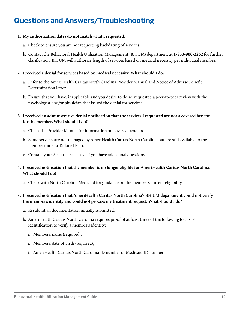#### **Questions and Answers/Troubleshooting**

#### **1. My authorization dates do not match what I requested.**

- a. Check to ensure you are not requesting backdating of services.
- b. Contact the Behavioral Health Utilization Management (BH UM) department at **1-833-900-2262** for further clarifcation. BH UM will authorize length of services based on medical necessity per individual member.

#### **2. I received a denial for services based on medical necessity. What should I do?**

- a. Refer to the AmeriHealth Caritas North Carolina Provider Manual and Notice of Adverse Beneft Determination letter.
- b. Ensure that you have, if applicable and you desire to do so, requested a peer-to-peer review with the psychologist and/or physician that issued the denial for services.
- **3. I received an administrative denial notifcation that the services I requested are not a covered beneft for the member. What should I do?** 
	- a. Check the Provider Manual for information on covered benefts.
	- b. Some services are not managed by AmeriHealth Caritas North Carolina, but are still available to the member under a Tailored Plan.
	- c. Contact your Account Executive if you have additional questions.
- **4. I received notifcation that the member is no longer eligible for AmeriHealth Caritas North Carolina. What should I do?** 
	- a. Check with North Carolina Medicaid for guidance on the member's current eligibility.

#### **5. I received notifcation that AmeriHealth Caritas North Carolina's BH UM department could not verify the member's identity and could not process my treatment request. What should I do?**

- a. Resubmit all documentation initially submitted.
- b. AmeriHealth Caritas North Carolina requires proof of at least three of the following forms of identifcation to verify a member's identity:
	- i. Member's name (required);
	- ii. Member's date of birth (required);
	- iii. AmeriHealth Caritas North Carolina ID number or Medicaid ID number.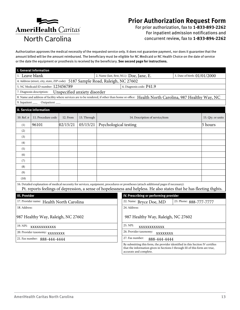

#### **Prior Authorization Request Form**

For prior authorization, fax to **1-833-893-2262**  For inpatient admission notifications and concurrent review, fax to **1-833-894-2262** 

Authorization approves the medical necessity of the requested service only. It does not guarantee payment, nor does it guarantee that the amount billed will be the amount reimbursed. The benefciary must be eligible for NC Medicaid or NC Health Choice on the date of service or the date the equipment or prosthesis is received by the benefciary. **See second page for instructions.** 

| I. General information                                                                       |                                                                                                                                                                                        |          |                              |                                    |                                    |                                                                                                                                                                                                                                                                  |                         |                   |
|----------------------------------------------------------------------------------------------|----------------------------------------------------------------------------------------------------------------------------------------------------------------------------------------|----------|------------------------------|------------------------------------|------------------------------------|------------------------------------------------------------------------------------------------------------------------------------------------------------------------------------------------------------------------------------------------------------------|-------------------------|-------------------|
| 1. Leave blank<br>2. Name (last, first, M.I.): Doe, Jane, E.<br>3. Date of birth: 01/01/2000 |                                                                                                                                                                                        |          |                              |                                    |                                    |                                                                                                                                                                                                                                                                  |                         |                   |
|                                                                                              | 4. Address (street, city, state, ZIP code): 5187 Sample Road, Raleigh, NC 27602                                                                                                        |          |                              |                                    |                                    |                                                                                                                                                                                                                                                                  |                         |                   |
|                                                                                              | 5. NC Medicaid ID number: 123456789<br>6. Diagnosis code: P41.9                                                                                                                        |          |                              |                                    |                                    |                                                                                                                                                                                                                                                                  |                         |                   |
|                                                                                              | 7. Diagnosis description:                                                                                                                                                              |          | Unspecified anxiety disorder |                                    |                                    |                                                                                                                                                                                                                                                                  |                         |                   |
|                                                                                              |                                                                                                                                                                                        |          |                              |                                    |                                    | 8. Name and address of facility where services are to be rendered, if other than home or office: Health North Carolina, 987 Healthy Way, NC                                                                                                                      |                         |                   |
| 9. Inpatient $\_\_$                                                                          | Outpatient                                                                                                                                                                             |          |                              |                                    |                                    |                                                                                                                                                                                                                                                                  |                         |                   |
|                                                                                              | <b>II. Service information</b>                                                                                                                                                         |          |                              |                                    |                                    |                                                                                                                                                                                                                                                                  |                         |                   |
| 10. Ref. $#$                                                                                 | 11. Procedure code                                                                                                                                                                     | 12. From | 13. Through                  |                                    |                                    | 14. Description of service/item                                                                                                                                                                                                                                  |                         | 15. Qty. or units |
| (1)                                                                                          | 96101                                                                                                                                                                                  | 02/15/21 | 05/15/21                     | Psychological testing              |                                    |                                                                                                                                                                                                                                                                  |                         | 5 hours           |
| (2)                                                                                          |                                                                                                                                                                                        |          |                              |                                    |                                    |                                                                                                                                                                                                                                                                  |                         |                   |
| (3)                                                                                          |                                                                                                                                                                                        |          |                              |                                    |                                    |                                                                                                                                                                                                                                                                  |                         |                   |
| (4)                                                                                          |                                                                                                                                                                                        |          |                              |                                    |                                    |                                                                                                                                                                                                                                                                  |                         |                   |
| (5)                                                                                          |                                                                                                                                                                                        |          |                              |                                    |                                    |                                                                                                                                                                                                                                                                  |                         |                   |
| (6)                                                                                          |                                                                                                                                                                                        |          |                              |                                    |                                    |                                                                                                                                                                                                                                                                  |                         |                   |
| (7)                                                                                          |                                                                                                                                                                                        |          |                              |                                    |                                    |                                                                                                                                                                                                                                                                  |                         |                   |
| (8)                                                                                          |                                                                                                                                                                                        |          |                              |                                    |                                    |                                                                                                                                                                                                                                                                  |                         |                   |
| (9)                                                                                          |                                                                                                                                                                                        |          |                              |                                    |                                    |                                                                                                                                                                                                                                                                  |                         |                   |
| (10)                                                                                         |                                                                                                                                                                                        |          |                              |                                    |                                    |                                                                                                                                                                                                                                                                  |                         |                   |
|                                                                                              |                                                                                                                                                                                        |          |                              |                                    |                                    | 16. Detailed explanation of medical necessity for services, equipment, procedures or prostheses (attach additional pages if necessary):<br>Pt. reports feelings of depression, a sense of hopelessness and helpless. He also states that he has fleeting thghts. |                         |                   |
| <b>III. Provider</b>                                                                         |                                                                                                                                                                                        |          |                              |                                    |                                    | IV. Prescribing or performing provider                                                                                                                                                                                                                           |                         |                   |
|                                                                                              | 17. Provider name: Health North Carolina                                                                                                                                               |          |                              |                                    |                                    | 22. Name: Bryce Doe, MD                                                                                                                                                                                                                                          | 23. Phone: 888-777-7777 |                   |
| 18. Address:                                                                                 |                                                                                                                                                                                        |          |                              |                                    |                                    | 24. Address:                                                                                                                                                                                                                                                     |                         |                   |
| 987 Healthy Way, Raleigh, NC 27602                                                           |                                                                                                                                                                                        |          |                              |                                    | 987 Healthy Way, Raleigh, NC 27602 |                                                                                                                                                                                                                                                                  |                         |                   |
| 19. NPI: XXXXXXXXXXX                                                                         |                                                                                                                                                                                        |          |                              |                                    | 25. NPI:<br>XXXXXXXXXXX            |                                                                                                                                                                                                                                                                  |                         |                   |
| 20. Provider taxonomy: XXXXXXXX                                                              |                                                                                                                                                                                        |          |                              | 26. Provider taxonomy:<br>XXXXXXXX |                                    |                                                                                                                                                                                                                                                                  |                         |                   |
|                                                                                              | 27. Fax number:<br>21. Fax number: 888-444-4444<br>888-444-4444                                                                                                                        |          |                              |                                    |                                    |                                                                                                                                                                                                                                                                  |                         |                   |
|                                                                                              | By submitting this form, the provider identified in this Section IV certifies<br>that the information given in Sections I through III of this form are true,<br>accurate and complete. |          |                              |                                    |                                    |                                                                                                                                                                                                                                                                  |                         |                   |